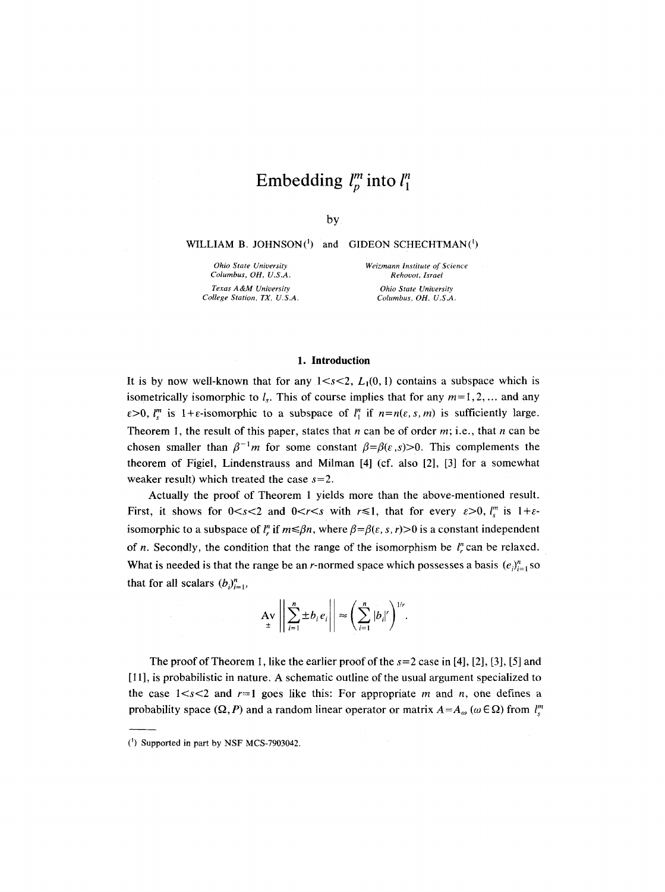# **Embedding**  $l_p^m$  into  $l_1^n$

by

**WILLIAM B. JOHNSON(')** and **GIDEON SCHECHTMAN(')** 

*Ohio State University Columbus, OH, U.S.A. Texas A &M University College Station, TX, U.S.A.* 

*Weizmann Institute of Science Rehovot, Israel Ohio State University* 

*Columbus, OH, U.S.A.* 

#### **1. Introduction**

It is by now well-known that for any  $1 \leq s \leq 2$ ,  $L_1(0, 1)$  contains a subspace which is isometrically isomorphic to  $l_s$ . This of course implies that for any  $m=1,2,...$  and any  $\varepsilon > 0$ ,  $l_i^m$  is  $1 + \varepsilon$ -isomorphic to a subspace of  $l_1^m$  if  $n = n(\varepsilon, s, m)$  is sufficiently large. Theorem 1, the result of this paper, states that n can be of order m; i.e., that n can be chosen smaller than  $\beta^{-1}m$  for some constant  $\beta = \beta(\epsilon, s) > 0$ . This complements the theorem of Figiel, Lindenstrauss and Milman [4] (cf. also [2], [3] for a somewhat weaker result) which treated the case  $s=2$ .

Actually the proof of Theorem 1 yields more than the above-mentioned result. First, it shows for  $0 < s < 2$  and  $0 < r < s$  with  $r \le 1$ , that for every  $\varepsilon > 0$ ,  $l''$  is  $1 + \varepsilon$ isomorphic to a subspace of  $l^n$ , if  $m \le \beta n$ , where  $\beta = \beta(\varepsilon, s, r) > 0$  is a constant independent of n. Secondly, the condition that the range of the isomorphism be  $l_r^n$  can be relaxed. What is needed is that the range be an *r*-normed space which possesses a basis  $(e_i)_{i=1}^n$  so that for all scalars  $(b_i)_{i=1}^n$ ,

$$
\mathbf{A}\mathbf{v}\left\|\sum_{i=1}^n\pm b_ie_i\right\| \approx \left(\sum_{i=1}^n|b_i|^r\right)^{1/r}.
$$

The proof of Theorem 1, like the earlier proof of the  $s=2$  case in [4], [2], [3], [5] and [11], is probabilistic in nature. A schematic outline of the usual argument specialized to the case  $1 \le s \le 2$  and  $r=1$  goes like this: For appropriate m and n, one defines a probability space  $(\Omega, P)$  and a random linear operator or matrix  $A = A_{\omega}$  ( $\omega \in \Omega$ ) from  $l_{\lambda}^{m}$ 

<sup>(1)</sup> Supported in part by NSF MCS-7903042.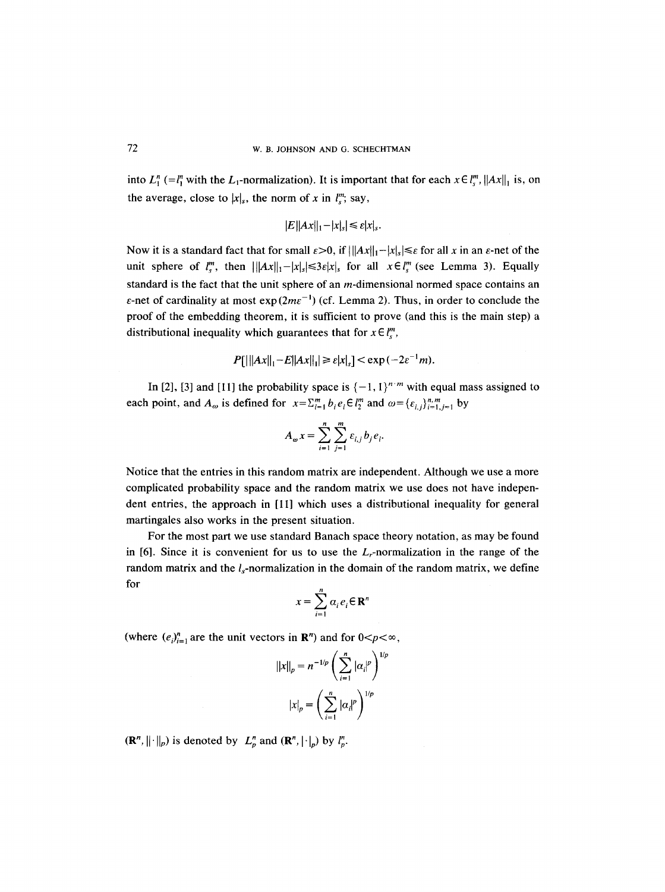into  $L_1^n (=l_1^m$  with the  $L_1$ -normalization). It is important that for each  $x \in l_2^m$ ,  $||Ax||_1$  is, on the average, close to  $|x|_s$ , the norm of x in  $l_s^m$ ; say,

$$
|E||Ax||_1-|x|_s|\leq \varepsilon |x|_s.
$$

Now it is a standard fact that for small  $\varepsilon > 0$ , if  $||Ax||_1 - |x|_s \le \varepsilon$  for all x in an  $\varepsilon$ -net of the unit sphere of  $l_s^m$ , then  $|||Ax||_1-|x|_s|\leq 3\varepsilon|x|_s$  for all  $x\in l_s^m$  (see Lemma 3). Equally standard is the fact that the unit sphere of an  $m$ -dimensional normed space contains an  $\varepsilon$ -net of cardinality at most  $\exp(2m\varepsilon^{-1})$  (cf. Lemma 2). Thus, in order to conclude the proof of the embedding theorem, it is sufficient to prove (and this is the main step) a distributional inequality which guarantees that for  $x \in l^m$ ,

$$
P[|||Ax||_1 - E||Ax||_1| \ge \varepsilon |x|_s] < \exp(-2\varepsilon^{-1}m).
$$

In [2], [3] and [11] the probability space is  $\{-1, 1\}^{n \cdot m}$  with equal mass assigned to each point, and  $A_{\omega}$  is defined for  $x = \sum_{i=1}^{m} b_i e_i \in l_2^m$  and  $\omega = {\varepsilon_{i,j}}_{i=1,j=1}^{n,m}$  by

$$
A_{\omega}x=\sum_{i=1}^n\sum_{j=1}^m \varepsilon_{i,j}b_j e_i.
$$

Notice that the entries in this random matrix are independent. Although we use a more complicated probability space and the random matrix we use does not have independent entries, the approach in [11] which uses a distributional inequality for general martingales also works in the present situation.

For the most part we use standard Banach space theory notation, as may be found in  $[6]$ . Since it is convenient for us to use the  $L_r$ -normalization in the range of the random matrix and the  $l_s$ -normalization in the domain of the random matrix, we define for

$$
x = \sum_{i=1}^{n} \alpha_i e_i \in \mathbf{R}^n
$$

(where  $(e_i)_{i=1}^n$  are the unit vectors in  $\mathbb{R}^n$ ) and for  $0 < p < \infty$ ,

$$
||x||_p = n^{-1/p} \left(\sum_{i=1}^n |\alpha_i|^p\right)^{1/p}
$$

$$
|x|_p = \left(\sum_{i=1}^n |\alpha_i|^p\right)^{1/p}
$$

 $(\mathbb{R}^n, ||\cdot||_p)$  is denoted by  $L_p^n$  and  $(\mathbb{R}^n, |\cdot|_p)$  by  $l_p^n$ .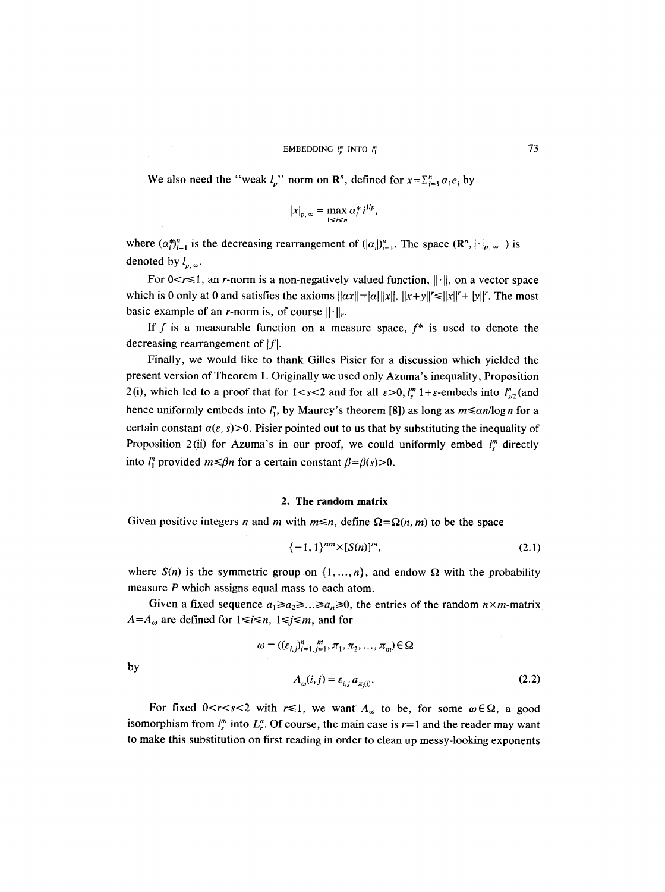### EMBEDDING  $l_n^m$  INTO  $l_1^n$  (73)

We also need the "weak  $l_p$ " norm on  $\mathbb{R}^n$ , defined for  $x = \sum_{i=1}^n a_i e_i$  by

$$
|x|_{p,\infty}=\max_{1\leq i\leq n}\alpha_i^*i^{1/p},
$$

where  $(\alpha_i^*)_{i=1}^n$  is the decreasing rearrangement of  $(|\alpha_i|)_{i=1}^n$ . The space  $(\mathbb{R}^n, |\cdot|_{p,\infty})$  is denoted by  $l_{p,\infty}$ .

For  $0 < r \le 1$ , an *r*-norm is a non-negatively valued function,  $\|\cdot\|$ , on a vector space which is 0 only at 0 and satisfies the axioms  $||\alpha x|| = |\alpha| ||x||$ ,  $||x+y|| \le ||x||^r + ||y||^r$ . The most basic example of an *r*-norm is, of course  $\|\cdot\|_{r}$ .

If f is a measurable function on a measure space,  $f^*$  is used to denote the decreasing rearrangement of  $|f|$ .

Finally, we would like to thank Gilles Pisier for a discussion which yielded the present version of Theorem I. Originally we used only Azuma's inequality, Proposition 2(i), which led to a proof that for  $1 < s < 2$  and for all  $\varepsilon > 0$ ,  $l_s^m 1 + \varepsilon$ -embeds into  $l_{s/2}^n$  (and hence uniformly embeds into  $l_1^n$ , by Maurey's theorem [8]) as long as  $m \leq \frac{a n}{\log n}$  for a certain constant  $\alpha(\varepsilon, s) > 0$ . Pisier pointed out to us that by substituting the inequality of Proposition 2(ii) for Azuma's in our proof, we could uniformly embed  $l_s^m$  directly into  $l_1^n$  provided  $m \leq \beta n$  for a certain constant  $\beta = \beta(s) > 0$ .

#### 2. **The random** matrix

Given positive integers *n* and *m* with  $m \le n$ , define  $\Omega = \Omega(n, m)$  to be the space

$$
\{-1,1\}^{nm} \times [S(n)]^m, \tag{2.1}
$$

where  $S(n)$  is the symmetric group on  $\{1, ..., n\}$ , and endow  $\Omega$  with the probability measure P which assigns equal mass to each atom.

Given a fixed sequence  $a_1 \ge a_2 \ge ... \ge a_n \ge 0$ , the entries of the random  $n \times m$ -matrix  $A=A_{\omega}$  are defined for  $1 \le i \le n$ ,  $1 \le j \le m$ , and for

 $\omega = ((\varepsilon_{i,j})_{i=1,j=1}^n, \pi_1, \pi_2, ..., \pi_m) \in \Omega$ 

by

$$
A_{\omega}(i,j) = \varepsilon_{i,j} a_{\pi(i)}.\tag{2.2}
$$

For fixed  $0 < r < s < 2$  with  $r \le 1$ , we want  $A_{\omega}$  to be, for some  $\omega \in \Omega$ , a good isomorphism from  $l_{\alpha}^{m}$  into  $L_{\alpha}^{n}$ . Of course, the main case is  $r=1$  and the reader may want to make this substitution on first reading in order to clean up messy-looking exponents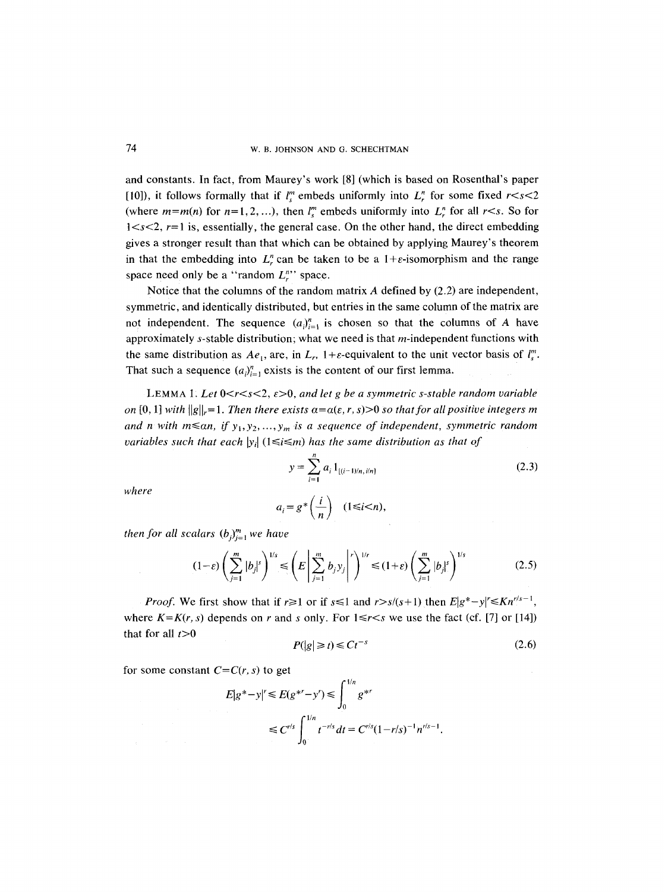#### 74 W. B. JOHNSON AND G. SCHECHTMAN

and constants. In fact, from Maurey's work [8] (which is based on Rosenthal's paper [10]), it follows formally that if  $l_{s}^{m}$  embeds uniformly into  $L_{r}^{n}$  for some fixed  $r < s < 2$ (where  $m=m(n)$  for  $n=1,2,...$ ), then  $l_s^m$  embeds uniformly into  $L_r^n$  for all  $r\lt s$ . So for  $1 < s < 2$ ,  $r=1$  is, essentially, the general case. On the other hand, the direct embedding gives a stronger result than that which can be obtained by applying Maurey's theorem in that the embedding into  $L_r^n$  can be taken to be a 1+ $\varepsilon$ -isomorphism and the range space need only be a "random  $L_r^n$ " space.

Notice that the columns of the random matrix  $\vec{A}$  defined by (2.2) are independent, symmetric, and identically distributed, but entries in the same column of the matrix are not independent. The sequence  $(a_i)_{i=1}^n$  is chosen so that the columns of A have approximately  $s$ -stable distribution; what we need is that  $m$ -independent functions with the same distribution as  $Ae_1$ , are, in  $L_r$ ,  $1+\varepsilon$ -equivalent to the unit vector basis of  $l_s^m$ . That such a sequence  $(a_i)_{i=1}^n$  exists is the content of our first lemma.

LEMMA 1. Let  $0 \le r \le s \le 2$ ,  $\varepsilon > 0$ , and let g be a symmetric s-stable random variable *on* [0, 1] *with*  $||g||_r = 1$ . *Then there exists*  $\alpha = \alpha(\varepsilon, r, s) > 0$  *so that for all positive integers m* and n with  $m \le a_n$ , if  $y_1, y_2, ..., y_m$  is a sequence of independent, symmetric random *variables such that each*  $|y_i|$  ( $1 \le i \le m$ ) *has the same distribution as that of* 

$$
y = \sum_{i=1}^{n} a_i 1_{[(i-1)/n, i/n]}
$$
 (2.3)

*where* 

$$
a_i = g^* \left( \frac{i}{n} \right) \quad (1 \le i < n),
$$

*then for all scalars*  $(b_j)_{j=1}^m$  *we have* 

$$
(1-\varepsilon)\left(\sum_{j=1}^m |b_j|^s\right)^{1/s} \leq \left(E\left|\sum_{j=1}^m b_j y_j\right|^r\right)^{1/r} \leq (1+\varepsilon)\left(\sum_{j=1}^m |b_j|^s\right)^{1/s} \tag{2.5}
$$

*Proof.* We first show that if  $r \ge 1$  or if  $s \le 1$  and  $r > s/(s+1)$  then  $E|g^* - y| \le Kn^{r/s-1}$ , where  $K=K(r, s)$  depends on r and s only. For  $1 \le r \le s$  we use the fact (cf. [7] or [14]) that for all  $t>0$ 

$$
P(|g| \ge t) \le Ct^{-s} \tag{2.6}
$$

for some constant  $C=C(r, s)$  to get

$$
E|g^*-y|^r \le E(g^{*r}-y^r) \le \int_0^{1/n} g^{*r}
$$
  
 
$$
\le C^{r/s} \int_0^{1/n} t^{-r/s} dt = C^{r/s} (1-r/s)^{-1} n^{r/s-1}.
$$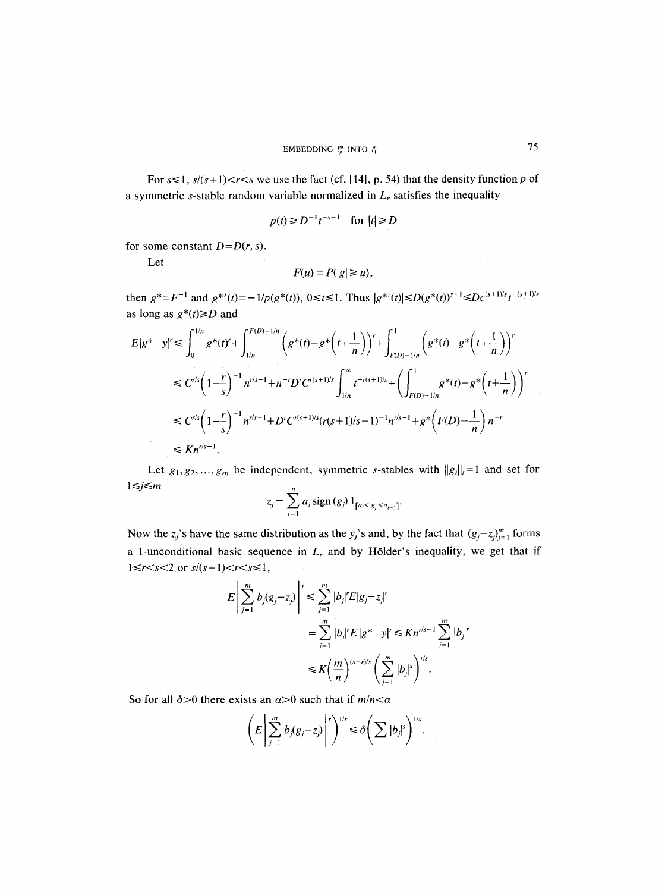For  $s \le 1$ ,  $s/(s+1) < r < s$  we use the fact (cf. [14], p. 54) that the density function p of a symmetric s-stable random variable normalized in  $L_r$  satisfies the inequality

$$
p(t) \ge D^{-1}t^{-s-1} \quad \text{for } |t| \ge D
$$

for some constant  $D=D(r, s)$ .

Let

$$
F(u) = P(|g| \ge u),
$$

then  $g^* = F^{-1}$  and  $g^{*'}(t) = -1/p(g^*(t)), 0 \le t \le 1$ . Thus  $|g^{*'}(t)| \le D(g^*(t))^{s+1} \le Dc^{(s+1)/s}t^{-(s+1)/s}$ as long as  $g^*(t) \ge D$  and

$$
E|g^*-y|^r \leq \int_0^{1/n} g^*(t)^r + \int_{1/n}^{F(D)-1/n} \left( g^*(t) - g^*\left(t + \frac{1}{n}\right) \right)^r + \int_{F(D)-1/n}^1 \left( g^*(t) - g^*\left(t + \frac{1}{n}\right) \right)^r
$$
  
\n
$$
\leq C^{r/s} \left(1 - \frac{r}{s}\right)^{-1} n^{r/s - 1} + n^{-r} D^r C^{r(s+1)/s} \int_{1/n}^\infty t^{-r(s+1)/s} + \left( \int_{F(D)-1/n}^1 g^*(t) - g^*\left(t + \frac{1}{n}\right) \right)^r
$$
  
\n
$$
\leq C^{r/s} \left(1 - \frac{r}{s}\right)^{-1} n^{r/s - 1} + D^r C^{r(s+1)/s} (r(s+1)/s - 1)^{-1} n^{r/s - 1} + g^*\left(F(D) - \frac{1}{n}\right) n^{-r}
$$
  
\n
$$
\leq K n^{r/s - 1}.
$$

Let  $g_1, g_2, ..., g_m$  be independent, symmetric s-stables with  $||g_i||_r = 1$  and set for  $1 \le j \le m$ 

$$
z_j = \sum_{i=1}^n a_i \operatorname{sign}(g_j) 1_{[a_i < |g_j| < a_{i-1}]}.
$$

Now the *z<sub>j</sub>*'s have the same distribution as the y<sub>j</sub>'s and, by the fact that  $(g_j - z_j)_{j=1}^m$  forms a 1-unconditional basic sequence in  $L_r$  and by Hölder's inequality, we get that if  $1 \le r \le s \le 2$  or  $s/(s+1) \le r \le s \le 1$ ,

$$
E\left|\sum_{j=1}^{m} b_j (g_j - z_j)\right|^r \leq \sum_{j=1}^{m} |b_j|^r E|g_j - z_j|^r
$$
  
= 
$$
\sum_{j=1}^{m} |b_j|^r E|g^* - y|^r \leq Kn^{r/s-1} \sum_{j=1}^{m} |b_j|^r
$$
  

$$
\leq K \left(\frac{m}{n}\right)^{(s-r)/s} \left(\sum_{j=1}^{m} |b_j|^s\right)^{r/s}.
$$

So for all  $\delta$ >0 there exists an  $\alpha$ >0 such that if  $m/n < \alpha$ 

$$
\left(E\left|\sum_{j=1}^m b_j(g_j-z_j)\right|^r\right)^{1/r}\leq \delta\left(\sum |b_j|^s\right)^{1/s}.
$$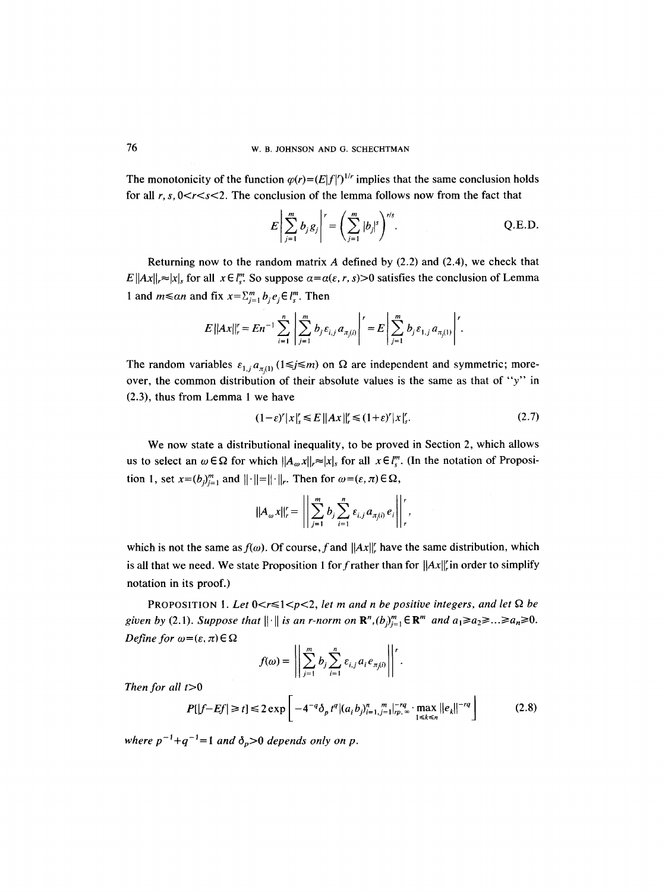The monotonicity of the function  $\varphi(r)=(E|f|')^{1/r}$  implies that the same conclusion holds for all  $r, s, 0 < r < s < 2$ . The conclusion of the lemma follows now from the fact that

$$
E\left|\sum_{j=1}^{m} b_{j}g_{j}\right|^{r} = \left(\sum_{j=1}^{m} |b_{j}|^{s}\right)^{r/s}.
$$
 Q.E.D.

Returning now to the random matrix A defined by  $(2.2)$  and  $(2.4)$ , we check that  $E\|Ax\|_r \approx |x|_s$  for all  $x \in \ell_{\infty}^m$ . So suppose  $\alpha = \alpha(\varepsilon, r, s) > 0$  satisfies the conclusion of Lemma 1 and  $m \le a_n$  and fix  $x = \sum_{j=1}^m b_j e_j \in l_s^m$ . Then

$$
E||Ax||_{r}^{r} = En^{-1}\sum_{i=1}^{n}\left|\sum_{j=1}^{m} b_{j} \varepsilon_{i,j} a_{\pi_{j}(i)}\right|^{r} = E\left|\sum_{j=1}^{m} b_{j} \varepsilon_{1,j} a_{\pi_{j}(1)}\right|^{r}.
$$

The random variables  $\varepsilon_{1,j} a_{\pi(i)}$  (1  $\leq j \leq m$ ) on  $\Omega$  are independent and symmetric; moreover, the common distribution of their absolute values is the same as that of "y" in (2.3), thus from Lemma 1 we have

$$
(1 - \varepsilon)^{r} |x|_{s}^{r} \le E \|Ax\|_{r}^{r} \le (1 + \varepsilon)^{r} |x|_{s}^{r}.
$$
 (2.7)

We now state a distributional inequality, to be proved in Section 2, which allows us to select an  $\omega \in \Omega$  for which  $||A_{\omega}x||_{r} \approx |x|$ , for all  $x \in l_{s}^{m}$ . (In the notation of Proposition 1, set  $x=(b)_{i=1}^m$  and  $||\cdot||=||\cdot||_r$ . Then for  $\omega=(\varepsilon,\pi)\in\Omega$ ,

$$
||A_{\omega} x||_{r}^{r} = \left|\left|\sum_{j=1}^{m} b_{j} \sum_{i=1}^{n} \varepsilon_{i,j} a_{\pi_{j}(i)} e_{i}\right|\right|_{r}^{r},
$$

which is not the same as  $f(\omega)$ . Of course, f and  $||Ax||_r^r$  have the same distribution, which is all that we need. We state Proposition 1 for f rather than for  $||Ax||$  in order to simplify notation in its proof.)

PROPOSITION 1. Let  $0 < r \leq 1 < p < 2$ , let m and n be positive integers, and let  $\Omega$  be *given by* (2.1). *Suppose that*  $\|\cdot\|$  *is an r-norm on*  $\mathbb{R}^n$ *,* $(b_j)_{j=1}^m \in \mathbb{R}^m$  *and*  $a_1 \ge a_2 \ge ... \ge a_n \ge 0$ . *Define for*  $\omega = (\varepsilon, \pi) \in \Omega$ 

$$
f(\omega) = \left\| \sum_{j=1}^m b_j \sum_{i=1}^n \varepsilon_{i,j} a_i e_{\pi_j(i)} \right\|^{r}.
$$

Then for all  $t>0$ 

$$
P[|f-Ef| \ge t] \le 2 \exp\left[-4^{-q} \delta_p t^q |(a_i b_{j})_{i=1,j=1}^n|_{rp,\infty}^{-rq} \cdot \max_{1 \le k \le n} ||e_k||^{-rq}\right]
$$
(2.8)

*where*  $p^{-1}+q^{-1}=1$  *and*  $\delta_p>0$  *depends only on p.*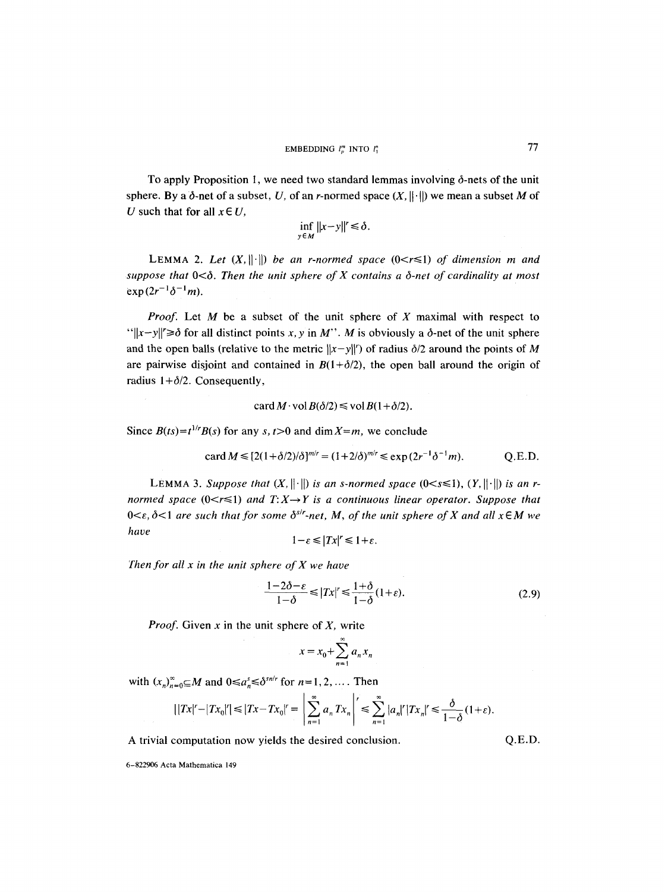To apply Proposition 1, we need two standard lemmas involving  $\delta$ -nets of the unit sphere. By a  $\delta$ -net of a subset, U, of an r-normed space  $(X, \|\cdot\|)$  we mean a subset M of U such that for all  $x \in U$ ,

$$
\inf_{y \in M} ||x - y||' \le \delta.
$$

LEMMA 2. Let  $(X, ||\cdot||)$  be an r-normed space  $(0 < r \le 1)$  of dimension m and suppose that  $0<\delta$ . Then the unit sphere of X contains a  $\delta$ -net of cardinality at most  $exp(2r^{-1}\delta^{-1}m)$ .

*Proof.* Let M be a subset of the unit sphere of X maximal with respect to " $||x-y|| \ge \delta$  for all distinct points x, y in M". M is obviously a  $\delta$ -net of the unit sphere and the open balls (relative to the metric  $||x-y||'$ ) of radius  $\delta/2$  around the points of M are pairwise disjoint and contained in  $B(1+\delta/2)$ , the open ball around the origin of radius  $1+\delta/2$ . Consequently,

$$
\operatorname{card} M \cdot \operatorname{vol} B(\delta/2) \leq \operatorname{vol} B(1 + \delta/2).
$$

Since  $B(ts)=t^{1/r}B(s)$  for any s,  $t>0$  and dim  $X=m$ , we conclude

$$
\text{card } M \leq [2(1+\delta/2)/\delta]^{m/r} = (1+2/\delta)^{m/r} \leq \exp(2r^{-1}\delta^{-1}m). \tag{Q.E.D.}
$$

LEMMA 3. *Suppose that*  $(X, \|\cdot\|)$  *is an s-normed space*  $(0 < s \le 1)$ ,  $(Y, \|\cdot\|)$  *is an rnormed space* ( $0 \le r \le 1$ ) and  $T: X \rightarrow Y$  is a continuous linear operator. Suppose that  $0 \leq \varepsilon$ ,  $\delta \leq 1$  are such that for some  $\delta^{s/r}$ -net, M, of the unit sphere of X and all  $x \in M$  we *have* 

$$
1-\varepsilon \leq |Tx|' \leq 1+\varepsilon.
$$

*Then for all x in the unit sphere of X we have* 

$$
\frac{1-2\delta-\varepsilon}{1-\delta} \le |Tx|' \le \frac{1+\delta}{1-\delta}(1+\varepsilon). \tag{2.9}
$$

*Proof.* Given x in the unit sphere of *X,* write

$$
x = x_0 + \sum_{n=1}^{\infty} a_n x_n
$$

with  $(x_n)_{n=0}^{\infty} \subseteq M$  and  $0 \le a_n^s \le \delta^{sn/r}$  for  $n=1,2,\ldots$ . Then

$$
||Tx|' - |Tx_0|'|\leq |Tx - Tx_0|' = \left|\sum_{n=1}^{\infty} a_n Tx_n\right|' \leq \sum_{n=1}^{\infty} |a_n|^r |Tx_n|' \leq \frac{\delta}{1-\delta}(1+\varepsilon).
$$

A trivial computation now yields the desired conclusion.  $Q.E.D.$ 

6-822906 Acta Mathematica 149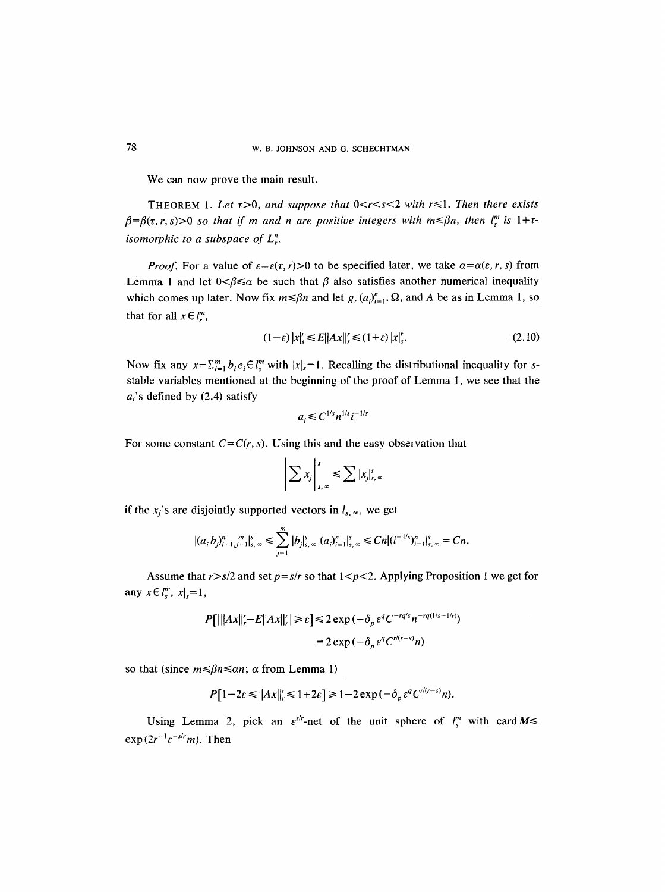We can now prove the main result.

THEOREM 1. Let  $\tau > 0$ , and suppose that  $0 < r < s < 2$  with  $r \leq 1$ . Then there exists  $\beta = \beta(\tau, r, s) > 0$  so that if m and n are positive integers with  $m \leq \beta n$ , then  $l_s^m$  is  $1 + \tau$ *isomorphic to a subspace of L~.* 

*Proof.* For a value of  $\varepsilon = \varepsilon(\tau, r) > 0$  to be specified later, we take  $\alpha = \alpha(\varepsilon, r, s)$  from Lemma 1 and let  $0 < \beta \le \alpha$  be such that  $\beta$  also satisfies another numerical inequality which comes up later. Now fix  $m \le \beta n$  and let *g*,  $(a_i)_{i=1}^n$ ,  $\Omega$ , and *A* be as in Lemma 1, so that for all  $x \in l_s^m$ ,

$$
(1 - \varepsilon) |x|'_{s} \le E||Ax||'_{r} \le (1 + \varepsilon) |x|'_{s}.
$$
\n(2.10)

Now fix any  $x = \sum_{i=1}^m b_i e_i \in l_s^m$  with  $|x|_s=1$ . Recalling the distributional inequality for sstable variables mentioned at the beginning of the proof of Lemma 1, we see that the  $a_i$ 's defined by (2.4) satisfy

$$
a_i\leq C^{1/s}n^{1/s}i^{-1/s}
$$

For some constant  $C=C(r, s)$ . Using this and the easy observation that

$$
\left|\sum x_j\right|_{s,\infty}^s\leqslant \sum |x_j|_{s,\infty}^s
$$

if the  $x_i$ 's are disjointly supported vectors in  $l_{s_i, \infty}$ , we get

$$
|(a_i b_j)_{i=1,j=1}^n|_{s,\infty}^s\leq \sum_{j=1}^m |b_j|_{s,\infty}^s|(a_i)_{i=1}^n|_{s,\infty}^s\leq Cn|(i^{-1/s})_{i=1}^n|_{s,\infty}^s=Cn.
$$

Assume that  $r > s/2$  and set  $p = s/r$  so that  $1 < p < 2$ . Applying Proposition 1 we get for any  $x \in l_s^m$ ,  $|x|_s = 1$ ,

$$
P[|||Ax||_{r}^{\prime}-E||Ax||_{r}^{\prime}| \geq \varepsilon] \leq 2 \exp\left(-\delta_{\rho} \varepsilon^{q} C^{-rq/s} n^{-rq(1/s-1/r)}\right)
$$

$$
= 2 \exp\left(-\delta_{\rho} \varepsilon^{q} C^{r/(r-s)} n\right)
$$

so that (since  $m \le \beta n \le \alpha n$ ;  $\alpha$  from Lemma 1)

$$
P[1-2\varepsilon \leq ||Ax||_{r}^r \leq 1+2\varepsilon] \geq 1-2\exp\left(-\delta_{\rho}\varepsilon^q C^{r/(r-s)}n\right).
$$

Using Lemma 2, pick an  $\varepsilon^{s/r}$ -net of the unit sphere of  $l_s^m$  with card  $M \leq$  $\exp(2r^{-1}\varepsilon^{-s/r}m)$ . Then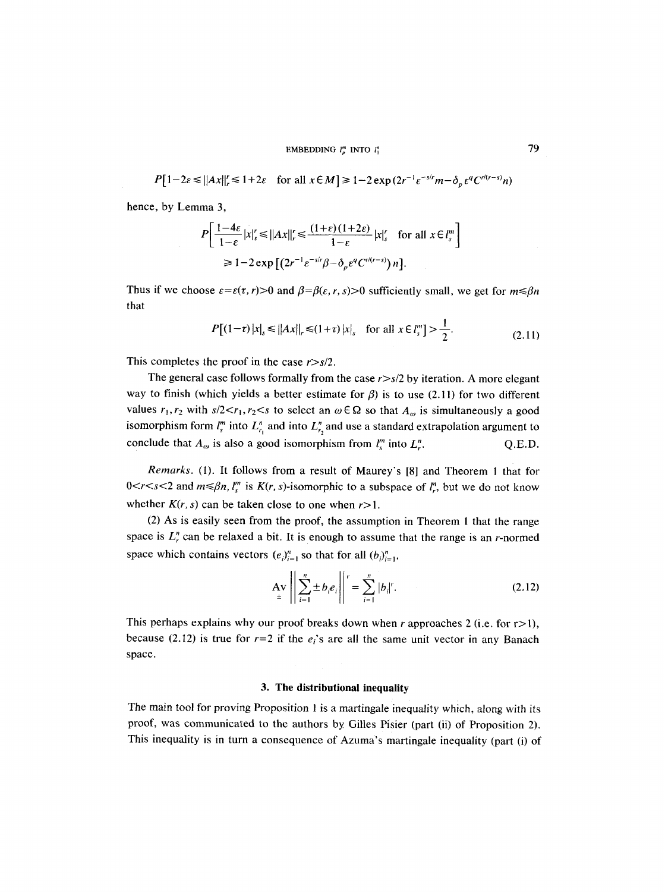EMBEDDING  $l_{n}^{m}$  into  $l_{1}^{n}$  (79

 $P[ 1 - 2\varepsilon \le ||Ax||_r \le 1 + 2\varepsilon$  for all  $x \in M$   $\ge 1 - 2 \exp(2r^{-1} \varepsilon^{-s/r} m - \delta_n \varepsilon^q C^{r/(r-s)} n)$ 

hence, by Lemma **3,** 

$$
P\left[\frac{1-4\varepsilon}{1-\varepsilon}|x|_{s}^{\prime} \leq ||Ax||_{r}^{\prime} \leq \frac{(1+\varepsilon)(1+2\varepsilon)}{1-\varepsilon}|x|_{s}^{\prime} \quad \text{for all } x \in l_{s}^{m}\right]
$$
  
\n
$$
\geq 1-2\exp\left[(2r^{-1}\varepsilon^{-s/\prime}\beta-\delta_{\rho}\varepsilon^{q}C^{\prime/(\gamma-s)})n\right].
$$

Thus if we choose  $\varepsilon = \varepsilon(\tau, r) > 0$  and  $\beta = \beta(\varepsilon, r, s) > 0$  sufficiently small, we get for  $m \le \beta n$ that

$$
P[(1-\tau)|x|_{s} \leq ||Ax||_{r} \leq (1+\tau)|x|_{s} \quad \text{for all } x \in l_{s}^{m}] > \frac{1}{2}.
$$
 (2.11)

This completes the proof in the case *r>s/2.* 

The general case follows formally from the case *r>s/2* by iteration. A more elegant way to finish (which yields a better estimate for  $\beta$ ) is to use (2.11) for two different values  $r_1, r_2$  with  $s/2 < r_1, r_2 < s$  to select an  $\omega \in \Omega$  so that  $A_{\omega}$  is simultaneously a good isomorphism form  $l_s^m$  into  $L_{r_1}^n$  and into  $L_{r_2}^n$  and use a standard extrapolation argument to conclude that  $A_{\omega}$  is also a good isomorphism from  $l_s^m$  into  $L_r^n$ . Q.E.D.

*Remarks.* (1). It follows from a result of Maurey's [8] and Theorem 1 that for  $0 < r < s < 2$  and  $m \le \beta n$ ,  $l_s^m$  is  $K(r, s)$ -isomorphic to a subspace of  $l_s^m$ , but we do not know whether  $K(r, s)$  can be taken close to one when  $r > 1$ .

(2) As is easily seen from the proof, the assumption in Theorem 1 that the range space is  $L<sub>r</sub><sup>n</sup>$  can be relaxed a bit. It is enough to assume that the range is an r-normed space which contains vectors  $(e_i)_{i=1}^n$  so that for all  $(b_i)_{i=1}^n$ ,

$$
\mathbf{A} \mathbf{v} \left| \left| \sum_{i=1}^{n} \pm b_i e_i \right| \right|^{r} = \sum_{i=1}^{n} |b_i|^{r}.
$$
 (2.12)

This perhaps explains why our proof breaks down when r approaches 2 (i.e. for  $r > 1$ ), because (2.12) is true for  $r=2$  if the  $e<sub>i</sub>$ 's are all the same unit vector in any Banach space.

## **3. The distributional inequality**

The main tool for proving Proposition 1 is a martingale inequality which, along with its proof, was communicated to the authors by Gilles Pisier (part (ii) of Proposition 2). This inequality is in turn a consequence of Azuma's martingale inequality (part (i) of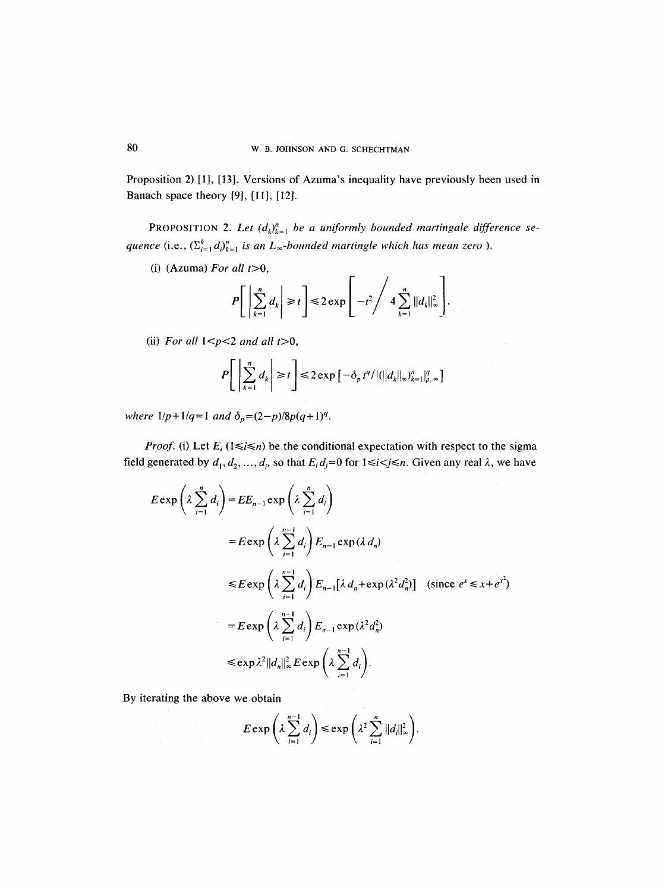Proposition 2) [1], [13]. Versions of Azuma's inequality have previously been used in Banach space theory [9], [11], [12].

PROPOSITION 2. Let  $(d_k)_{k=1}^n$  be a uniformly bounded martingale difference se*quence* (i.e.,  $(\sum_{i=1}^{k} d_i)_{k=1}^{n}$  *is an L*<sub>∞</sub>-bounded martingle which has mean zero ).

(i)  $(Azuma)$  *For all t*>0,

$$
P\bigg[\left|\sum_{k=1}^n d_k\right| \geq t\bigg] \leq 2 \exp\Bigg[-t^2\Bigg/4\sum_{k=1}^n \|d_k\|_{\infty}^2\Bigg].
$$

 $\overline{a}$ 

(ii) For all  $1 < p < 2$  and all  $t > 0$ ,

$$
P\left[\left|\sum_{k=1}^n d_k\right| \geq t\right] \leq 2\exp\left[-\delta_p t^q/|\langle ||d_k||_{\infty}\rangle_{k=1}^n|_{p,\infty}^q\right]
$$

*where*  $1/p+1/q=1$  *and*  $\delta_p=(2-p)/8p(q+1)^q$ .

*Proof.* (i) Let  $E_i$  ( $1 \le i \le n$ ) be the conditional expectation with respect to the sigma field generated by  $d_1, d_2, ..., d_i$ , so that  $E_i d_j = 0$  for  $1 \le i \le j \le n$ . Given any real  $\lambda$ , we have

$$
E \exp\left(\lambda \sum_{i=1}^{n} d_i\right) = EE_{n-1} \exp\left(\lambda \sum_{i=1}^{n} d_i\right)
$$
  
\n
$$
= E \exp\left(\lambda \sum_{i=1}^{n-1} d_i\right) E_{n-1} \exp(\lambda d_n)
$$
  
\n
$$
\leq E \exp\left(\lambda \sum_{i=1}^{n-1} d_i\right) E_{n-1} [\lambda d_n + \exp(\lambda^2 d_n^2)] \quad \text{(since } e^x \leq x + e^{x^2}\text{)}
$$
  
\n
$$
= E \exp\left(\lambda \sum_{i=1}^{n-1} d_i\right) E_{n-1} \exp(\lambda^2 d_n^2)
$$
  
\n
$$
\leq \exp\lambda^2 ||d_n||_{\infty}^2 E \exp\left(\lambda \sum_{i=1}^{n-1} d_i\right).
$$

By iterating the above we obtain

$$
E \exp \left(\lambda \sum_{i=1}^{n-1} d_i\right) \leqslant \exp \left(\lambda^2 \sum_{i=1}^{n} ||d_i||_{\infty}^2\right).
$$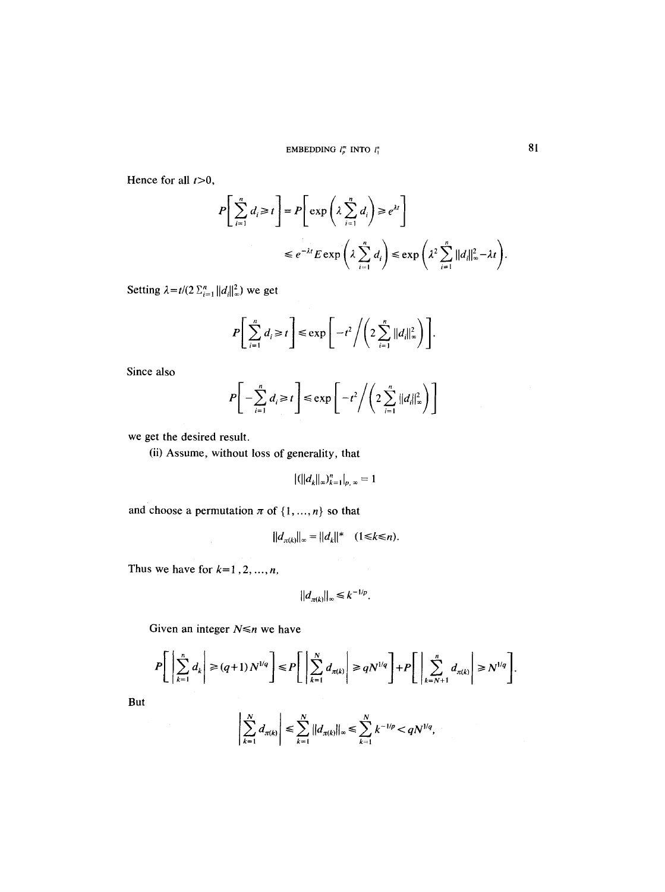Hence for all  $t>0$ ,

$$
P\left[\sum_{i=1}^{n} d_i \ge t\right] = P\left[\exp\left(\lambda \sum_{i=1}^{n} d_i\right) \ge e^{\lambda t}\right]
$$
  

$$
\le e^{-\lambda t} E \exp\left(\lambda \sum_{i=1}^{n} d_i\right) \le \exp\left(\lambda^2 \sum_{i=1}^{n} ||d_i||_{\infty}^2 - \lambda t\right).
$$

Setting  $\lambda = t/(2 \sum_{i=1}^n ||d_i||_{\infty}^2)$  we get

$$
P\bigg[\sum_{i=1}^n d_i \geq t\bigg] \leq \exp\bigg[-t^2\bigg/\bigg(2\sum_{i=1}^n ||d_i||_{\infty}^2\bigg)\bigg].
$$

Since also

$$
P\bigg[-\sum_{i=1}^n d_i \ge t\bigg] \le \exp\bigg[-t^2\bigg/\bigg(2\sum_{i=1}^n ||d_i||_{\infty}^2\bigg)\bigg]
$$

we get the desired result.

(ii) Assume, without loss of generality, that

$$
|(||d_k||_{\infty})_{k=1}^n|_{p,\infty}=1
$$

and choose a permutation  $\pi$  of  $\{1, ..., n\}$  so that

$$
||d_{\pi(k)}||_{\infty} = ||d_k||^* \quad (1 \le k \le n).
$$

Thus we have for  $k=1, 2, ..., n$ ,

$$
||d_{\pi(k)}||_{\infty} \leq k^{-1/p}.
$$

Given an integer  $N \le n$  we have

$$
P\left[\left|\sum_{k=1}^n d_k\right| \geq (q+1)N^{1/q}\right] \leq P\left[\left|\sum_{k=1}^N d_{\pi(k)}\right| \geq qN^{1/q}\right] + P\left[\left|\sum_{k=N+1}^n d_{\pi(k)}\right| \geq N^{1/q}\right].
$$

**But** 

$$
\left|\sum_{k=1}^N d_{\pi(k)}\right| \leq \sum_{k=1}^N \|d_{\pi(k)}\|_{\infty} \leq \sum_{k=1}^N k^{-1/p} < qN^{1/q},
$$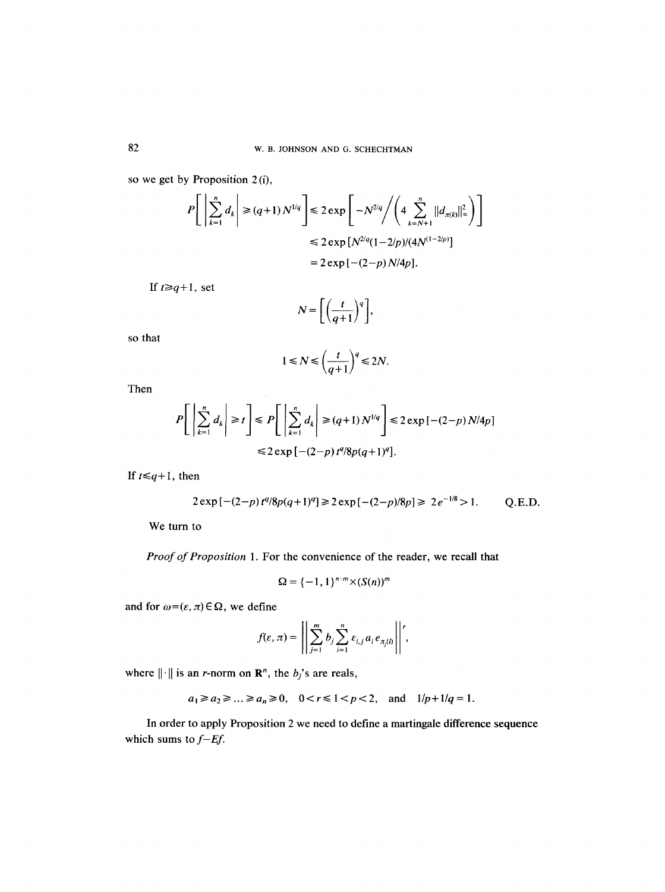so we get by Proposition 2 (i),

$$
P\left[\left|\sum_{k=1}^{n} d_k\right| \ge (q+1) N^{1/q}\right] \le 2 \exp\left[-N^{2/q} / \left(4 \sum_{k=N+1}^{n} ||d_{\pi(k)}||_{\infty}^2\right)\right]
$$
  

$$
\le 2 \exp[N^{2/q}(1-2/p)/(4N^{(1-2/p)}])
$$
  

$$
= 2 \exp[-(2-p) N/4p].
$$

If  $t \geq q+1$ , set

$$
N = \left[ \left( \frac{t}{q+1} \right)^q \right],
$$

so that

$$
1 \le N \le \left(\frac{t}{q+1}\right)^q \le 2N.
$$

 $\mathcal{L}_{\rm{in}}$ 

Then

$$
P\left[\left|\sum_{k=1}^{n} d_k\right| \ge t\right] \le P\left[\left|\sum_{k=1}^{n} d_k\right| \ge (q+1)N^{1/q}\right] \le 2\exp\left[-(2-p)N/4p\right]
$$
  

$$
\le 2\exp\left[-(2-p)\,t^q/8p(q+1)^q\right].
$$

If  $t \leq q+1$ , then

$$
2\exp\left[-(2-p)t^{q}/8p(q+1)^{q}\right] \ge 2\exp\left[-(2-p)/8p\right] \ge 2e^{-1/8} > 1. \qquad Q.E.D.
$$

We turn to

*Proof of Proposition* 1. For the convenience of the reader, we recall that

$$
\Omega = \{-1,1\}^{n \cdot m} \times (S(n))^m
$$

and for  $\omega = (\varepsilon, \pi) \in \Omega$ , we define

$$
f(\varepsilon,\pi)=\left|\left|\sum_{j=1}^m b_j\sum_{i=1}^n \varepsilon_{i,j} a_i e_{\pi_j(i)}\right|\right|',
$$

where  $\|\cdot\|$  is an *r*-norm on  $\mathbb{R}^n$ , the *b<sub>j</sub>*'s are reals,

 $a_1 \ge a_2 \ge ... \ge a_n \ge 0$ ,  $0 < r \le 1 < p < 2$ , and  $1/p + 1/q = 1$ .

In order to apply Proposition 2 we need to define a martingale difference sequence which sums to  $f$ –*Ef*.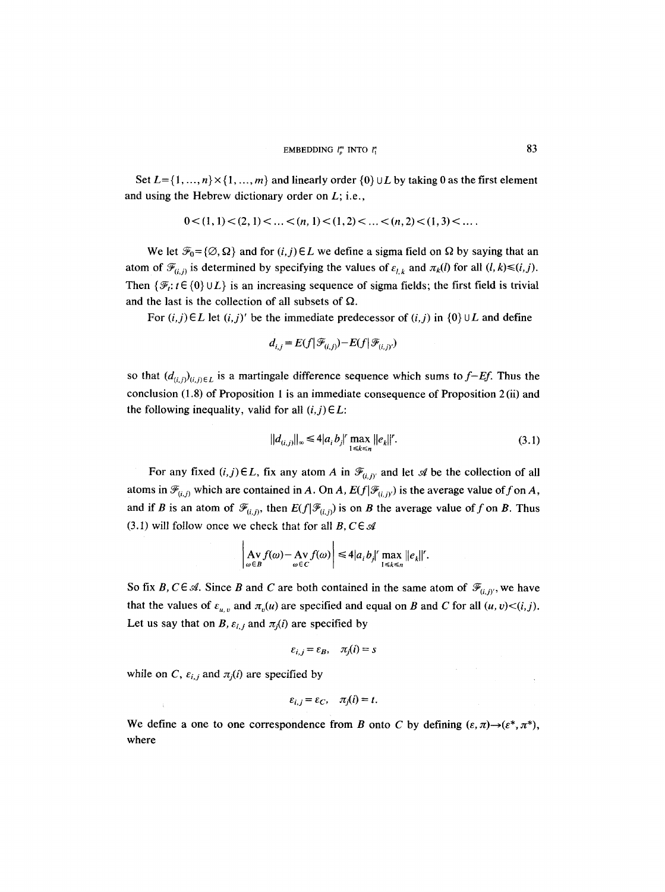Set  $L = \{1, ..., n\} \times \{1, ..., m\}$  and linearly order  $\{0\} \cup L$  by taking 0 as the first element and using the Hebrew dictionary order on  $L$ ; i.e.,

$$
0 < (1, 1) < (2, 1) < \ldots < (n, 1) < (1, 2) < \ldots < (n, 2) < (1, 3) < \ldots
$$

We let  $\mathcal{F}_0 = {\emptyset, \Omega}$  and for  $(i, j) \in L$  we define a sigma field on  $\Omega$  by saying that an atom of  $\mathcal{F}_{(i,j)}$  is determined by specifying the values of  $\varepsilon_{l,k}$  and  $\pi_k(l)$  for all  $(l, k) \leq (i,j)$ . Then  $\{\mathcal{F}_t: t \in \{0\} \cup L\}$  is an increasing sequence of sigma fields; the first field is trivial and the last is the collection of all subsets of  $\Omega$ .

For  $(i, j) \in L$  let  $(i, j)'$  be the immediate predecessor of  $(i, j)$  in  $\{0\} \cup L$  and define

$$
d_{i,j} = E(f|\mathcal{F}_{(i,j)}) - E(f|\mathcal{F}_{(i,j)'})
$$

so that  $(d_{(i,j)}_{(i,j)\in L}$  is a martingale difference sequence which sums to  $f$ –*Ef*. Thus the conclusion (1.8) of Proposition 1 is an immediate consequence of Proposition 2 (ii) and the following inequality, valid for all  $(i, j) \in L$ :

$$
||d_{(i,j)}||_{\infty} \leq 4|a_i b_j|' \max_{1 \leq k \leq n} ||e_k||'.
$$
 (3.1)

 $\alpha_{\rm eff} = 0.001$ 

For any fixed  $(i, j) \in L$ , fix any atom A in  $\mathcal{F}_{(i,j)}$  and let  $\mathcal{A}$  be the collection of all atoms in  $\mathcal{F}_{(i,j)}$  which are contained in A. On A,  $E(f|\mathcal{F}_{(i,j)})$  is the average value of f on A, and if B is an atom of  $\mathcal{F}_{(i,j)}$ , then  $E(f|\mathcal{F}_{(i,j)})$  is on B the average value of f on B. Thus (3.1) will follow once we check that for all  $B, C \in \mathcal{A}$ 

$$
\left|\mathop{\mathrm{Av}}\limits_{\omega\in B}f(\omega)-\mathop{\mathrm{Av}}\limits_{\omega\in C}f(\omega)\right|\leq 4|a_i b_j|'\max_{1\leq k\leq n}||e_k||'.
$$

So fix B,  $C \in \mathcal{A}$ . Since B and C are both contained in the same atom of  $\mathcal{F}_{(i,j)}$ , we have that the values of  $\varepsilon_{u,v}$  and  $\pi_v(u)$  are specified and equal on B and C for all  $(u, v) < (i,j)$ . Let us say that on B,  $\varepsilon_{i,j}$  and  $\pi_j(i)$  are specified by

$$
\varepsilon_{i,j} = \varepsilon_B, \quad \pi_j(i) = s
$$

while on *C*,  $\varepsilon_{i,j}$  and  $\pi_j(i)$  are specified by

$$
\varepsilon_{i,j} = \varepsilon_C, \quad \pi_j(i) = t.
$$

We define a one to one correspondence from B onto C by defining  $(\varepsilon, \pi) \rightarrow (\varepsilon^*, \pi^*)$ , where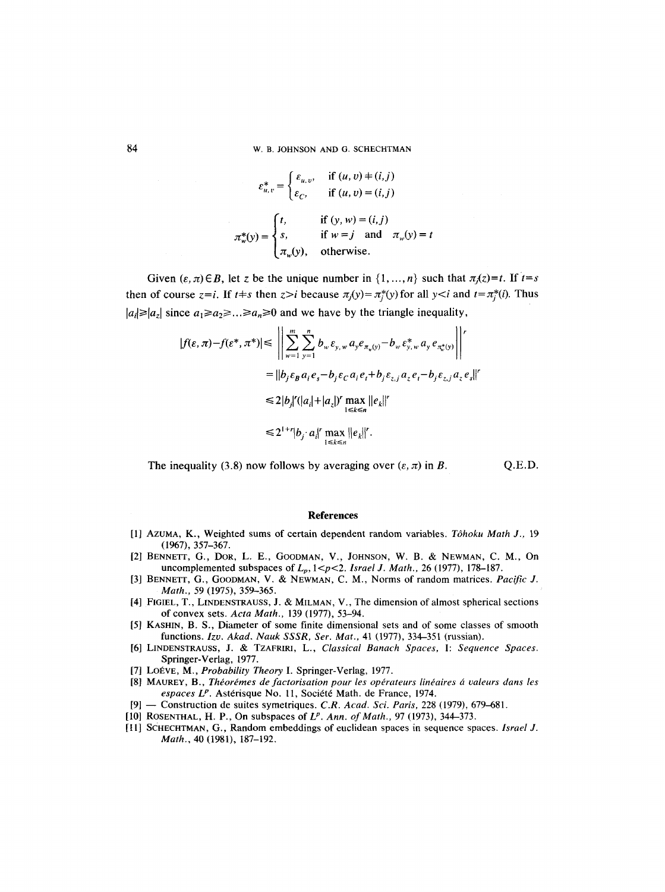84 W. B. JOHNSON AND G. SCHECHTMAN

$$
\varepsilon_{u,v}^* = \begin{cases} \varepsilon_{u,v}, & \text{if } (u,v) \neq (i,j) \\ \varepsilon_{C}, & \text{if } (u,v) = (i,j) \end{cases}
$$

$$
\pi_w^*(y) = \begin{cases} t, & \text{if } (y,w) = (i,j) \\ s, & \text{if } w = j \text{ and } \pi_w(y) = t \\ \pi_w(y), & \text{otherwise.} \end{cases}
$$

Given  $(\varepsilon, \pi) \in B$ , let z be the unique number in  $\{1, ..., n\}$  such that  $\pi_i(z) = t$ . If  $t = s$ then of course  $z=i$ . If  $t+s$  then  $z>i$  because  $\pi_j(y)=\pi_i^*(y)$  for all  $y and  $t=\pi_i^*(i)$ . Thus$  $|a_i| \geq |a_i|$  since  $a_1 \geq a_2 \geq \ldots \geq a_n \geq 0$  and we have by the triangle inequality,

$$
|f(\varepsilon, \pi) - f(\varepsilon^*, \pi^*)| \leq \left\| \sum_{w=1}^m \sum_{y=1}^n b_w \varepsilon_{y, w} a_y e_{\pi_w(y)} - b_w \varepsilon_{y, w}^* a_y e_{\pi_w^*(y)} \right\|^{r}
$$
  
\n
$$
= |b_j \varepsilon_B a_i e_s - b_j \varepsilon_C a_i e_t + b_j \varepsilon_{z, j} a_z e_t - b_j \varepsilon_{z, j} a_z e_s|^{r}
$$
  
\n
$$
\leq 2|b_j|^{r} (|a_i| + |a_z|)^{r} \max_{1 \leq k \leq n} ||e_k||^{r}
$$
  
\n
$$
\leq 2^{1+r} |b_j \cdot a_i|^{r} \max_{1 \leq k \leq n} ||e_k||^{r}.
$$

The inequality (3.8) now follows by averaging over  $(\varepsilon, \pi)$  in B. Q.E.D.

#### **References**

- [1] Azuma, K., Weighted sums of certain dependent random variables. *Tôhoku Math J.,* 19 (1967), 357-367.
- [2] BENNETT, G., DOR, L. E., GOODMAN, V., JOHNSON, W. B. & NEWMAN, C. M., On uncomplemented subspaces of  $L_p$ ,  $1 < p < 2$ . *Israel J. Math.*, 26 (1977), 178-187.
- [3] BENNETT, G., GOODMAN, V. & NEWMAN, C. M., Norms of random matrices. *Pacific J. Math., 59 (1975), 359-365.*
- [4] FIGIEL, T., LINDENSTRAUSS, J. & MILMAN, V., The dimension of almost spherical sections of convex sets. *Acta Math.,* 139 (1977), 53-94.
- [5] KASHIN, B. S., Diameter of some finite dimensional sets and of some classes of smooth functions. *Izo. Akad. Nauk SSSR, Set. Mat.,* 41 (1977), 334-351 (russian).
- [6] LINDENSTRAUSS, J. & TZAFRIRI, L., *Classical Banach Spaces,* I: *Sequence Spaces.*  Springer-Verlag, 1977.
- [7] LOEVE, M., *Probability Theory* I. Springer-Verlag, 1977.
- [8] MAUREY, B., *Théorémes de factorisation pour les opérateurs linéaires á valeurs dans les* espaces L<sup>p</sup>. Astérisque No. 11, Société Math. de France, 1974.
- [9] -- Construction de suites symetriques. *C.R. Acad. Sci. Paris,* 228 (1979), 679-681.
- [10] ROSENTHAL, H. P., On subspaces of *L<sup>p</sup>. Ann. of Math.*, 97 (1973), 344–373.
- [I 1] SCHECHTMAN, G., Random embeddings of euclidean spaces in sequence spaces. *Israel J. Math.,* 40 (1981), I87-192.